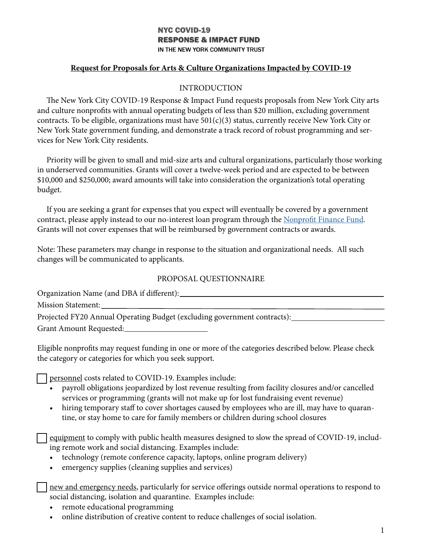## **NYC COVID-19 RESPONSE & IMPACT FUND** IN THE NEW YORK COMMUNITY TRUST

## Request for Proposals for Arts & Culture Organizations Impacted by COVID-19

#### INTRODUCTION

The New York City COVID-19 Response & Impact Fund requests proposals from New York City arts and culture nonprofits with annual operating budgets of less than \$20 million, excluding government contracts. To be eligible, organizations must have  $501(c)(3)$  status, currently receive New York City or New York State government funding, and demonstrate a track record of robust programming and services for New York City residents.

Priority will be given to small and mid-size arts and cultural organizations, particularly those working in underserved communities. Grants will cover a twelve-week period and are expected to be between \$10,000 and \$250,000; award amounts will take into consideration the organization's total operating budget.

If you are seeking a grant for expenses that you expect will eventually be covered by a government contract, please apply instead to our no-interest loan program through the Nonprofit Finance Fund. Grants will not cover expenses that will be reimbursed by government contracts or awards.

Note: These parameters may change in response to the situation and organizational needs. All such changes will be communicated to applicants.

#### PROPOSAL QUESTIONNAIRE

Organization Name (and DBA if different):

Mission Statement:

Projected FY20 Annual Operating Budget (excluding government contracts):

Grant Amount Requested:

Eligible nonprofits may request funding in one or more of the categories described below. Please check the category or categories for which you seek support.

personnel costs related to COVID-19. Examples include:

- payroll obligations jeopardized by lost revenue resulting from facility closures and/or cancelled services or programming (grants will not make up for lost fundraising event revenue)
- hiring temporary staff to cover shortages caused by employees who are ill, may have to quarantine, or stay home to care for family members or children during school closures

equipment to comply with public health measures designed to slow the spread of COVID-19, including remote work and social distancing. Examples include:

- technology (remote conference capacity, laptops, online program delivery)
- emergency supplies (cleaning supplies and services)

new and emergency needs, particularly for service offerings outside normal operations to respond to social distancing, isolation and quarantine. Examples include:

- remote educational programming
- online distribution of creative content to reduce challenges of social isolation.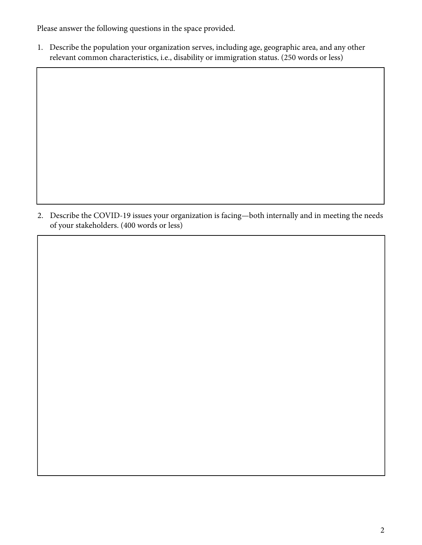Please answer the following questions in the space provided.

1. Describe the population your organization serves, including age, geographic area, and any other relevant common characteristics, i.e., disability or immigration status. (250 words or less)

2. Describe the COVID-19 issues your organization is facing—both internally and in meeting the needs of your stakeholders. (400 words or less)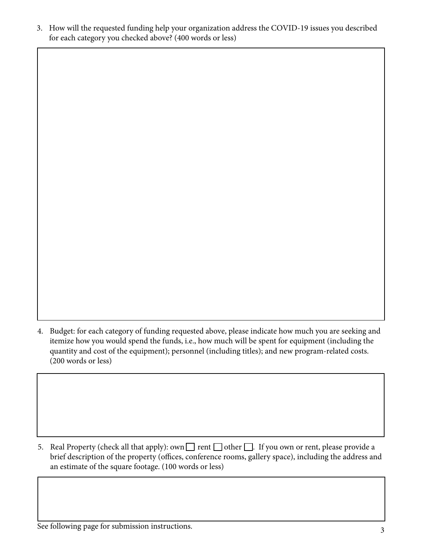3. How will the requested funding help your organization address the COVID-19 issues you described for each category you checked above? (400 words or less)

4. Budget: for each category of funding requested above, please indicate how much you are seeking and itemize how you would spend the funds, i.e., how much will be spent for equipment (including the quantity and cost of the equipment); personnel (including titles); and new program-related costs. (200 words or less)

5. Real Property (check all that apply): own  $\Box$  rent  $\Box$  other  $\Box$ . If you own or rent, please provide a brief description of the property (offices, conference rooms, gallery space), including the address and an estimate of the square footage. (100 words or less)